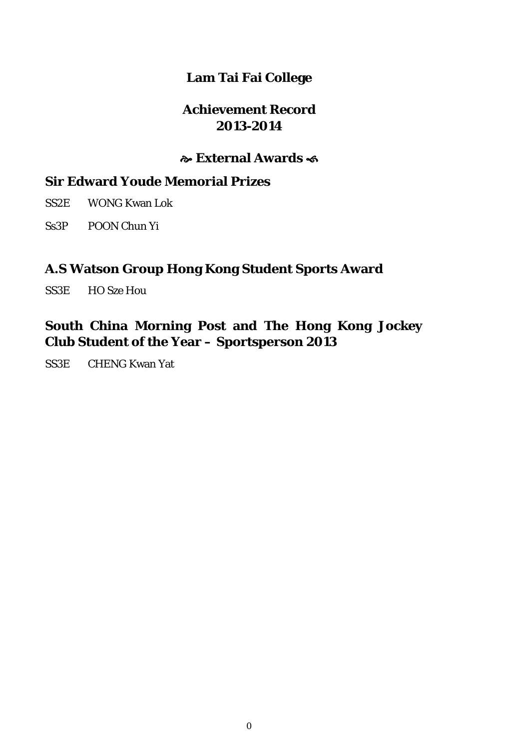## **Lam Tai Fai College**

### **Achievement Record 2013-2014**

### **External Awards**

## **Sir Edward Youde Memorial Prizes**

SS2E WONG Kwan Lok

Ss3P POON Chun Yi

### **A.S Watson Group Hong Kong Student Sports Award**

SS3E HO Sze Hou

## **South China Morning Post and The Hong Kong Jockey Club Student of the Year – Sportsperson 2013**

SS3E CHENG Kwan Yat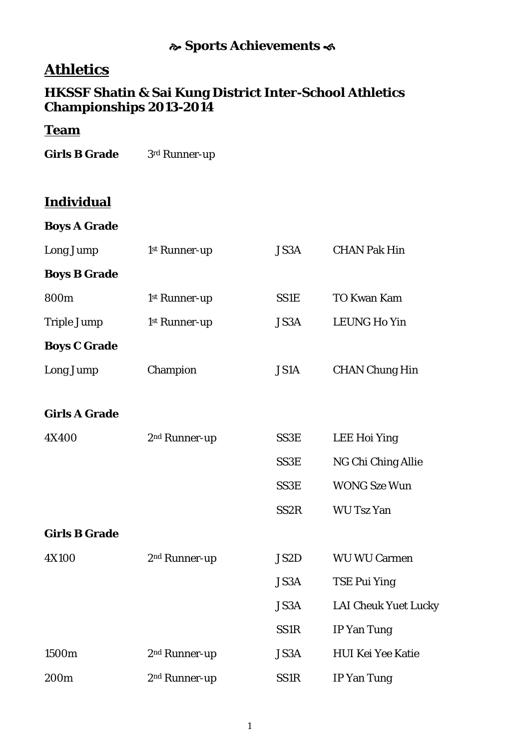## **Sports Achievements**

# **Athletics**

### **HKSSF Shatin & Sai Kung District Inter-School Athletics Championships 2013-2014**

### **Team**

Girls B Grade 3rd Runner-up

## **Individual**

|  | <b>Boys A Grade</b> |
|--|---------------------|
|  |                     |

| Long Jump            | 1st Runner-up             | JS3A              | <b>CHAN Pak Hin</b>         |
|----------------------|---------------------------|-------------------|-----------------------------|
| <b>Boys B Grade</b>  |                           |                   |                             |
| 800m                 | 1st Runner-up             | <b>SS1E</b>       | <b>TO Kwan Kam</b>          |
| <b>Triple Jump</b>   | 1st Runner-up             | JS3A              | <b>LEUNG Ho Yin</b>         |
| <b>Boys C Grade</b>  |                           |                   |                             |
| Long Jump            | Champion                  | JS1A              | <b>CHAN Chung Hin</b>       |
| <b>Girls A Grade</b> |                           |                   |                             |
| 4X400                | 2 <sup>nd</sup> Runner-up | SS3E              | <b>LEE Hoi Ying</b>         |
|                      |                           | SS3E              | NG Chi Ching Allie          |
|                      |                           | SS3E              | <b>WONG Sze Wun</b>         |
|                      |                           | SS <sub>2</sub> R | <b>WU Tsz Yan</b>           |
| <b>Girls B Grade</b> |                           |                   |                             |
| <b>4X100</b>         | 2 <sup>nd</sup> Runner-up | JS2D              | <b>WU WU Carmen</b>         |
|                      |                           | <b>JS3A</b>       | <b>TSE Pui Ying</b>         |
|                      |                           | JS3A              | <b>LAI Cheuk Yuet Lucky</b> |
|                      |                           | <b>SS1R</b>       | <b>IP Yan Tung</b>          |
| 1500m                | 2 <sup>nd</sup> Runner-up | JS3A              | <b>HUI Kei Yee Katie</b>    |
| 200m                 | 2 <sup>nd</sup> Runner-up | <b>SS1R</b>       | <b>IP Yan Tung</b>          |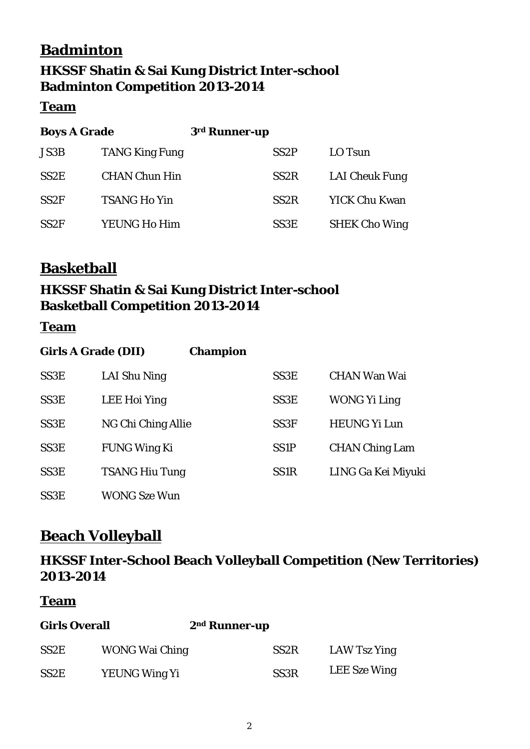# **Badminton HKSSF Shatin & Sai Kung District Inter-school Badminton Competition 2013-2014**

#### **Team**

| <b>Boys A Grade</b> |                       | 3rd Runner-up |                   |                       |
|---------------------|-----------------------|---------------|-------------------|-----------------------|
| <b>JS3B</b>         | <b>TANG King Fung</b> |               | SS <sub>2</sub> P | LO Tsun               |
| SS <sub>2</sub> E   | <b>CHAN Chun Hin</b>  |               | SS <sub>2</sub> R | <b>LAI Cheuk Fung</b> |
| SS <sub>2F</sub>    | <b>TSANG Ho Yin</b>   |               | SS <sub>2</sub> R | <b>YICK Chu Kwan</b>  |
| SS <sub>2F</sub>    | YEUNG Ho Him          |               | SS <sub>3</sub> E | <b>SHEK Cho Wing</b>  |

# **Basketball**

## **HKSSF Shatin & Sai Kung District Inter-school Basketball Competition 2013-2014**

### **Team**

| <b>Girls A Grade (DII)</b> |                       | <b>Champion</b> |                   |                       |
|----------------------------|-----------------------|-----------------|-------------------|-----------------------|
| SS <sub>3</sub> E          | LAI Shu Ning          |                 | SS <sub>3</sub> E | CHAN Wan Wai          |
| SS <sub>3</sub> E          | LEE Hoi Ying          |                 | SS <sub>3</sub> E | WONG Yi Ling          |
| SS <sub>3</sub> E          | NG Chi Ching Allie    |                 | SS <sub>3F</sub>  | <b>HEUNG Yi Lun</b>   |
| SS <sub>3</sub> E          | <b>FUNG Wing Ki</b>   |                 | <b>SS1P</b>       | <b>CHAN Ching Lam</b> |
| SS <sub>3</sub> E          | <b>TSANG Hiu Tung</b> |                 | SS <sub>1</sub> R | LING Ga Kei Miyuki    |
| SS <sub>3</sub> E          | WONG Sze Wun          |                 |                   |                       |

# **Beach Volleyball**

## **HKSSF Inter-School Beach Volleyball Competition (New Territories) 2013-2014**

### **Team**

| <b>Girls Overall</b> |                       | 2 <sup>nd</sup> Runner-up |              |
|----------------------|-----------------------|---------------------------|--------------|
| SS <sub>2</sub> E    | <b>WONG Wai Ching</b> | SS <sub>2</sub> R         | LAW Tsz Ying |
| SS <sub>2</sub> E    | YEUNG Wing Yi         | SS <sub>3</sub> R         | LEE Sze Wing |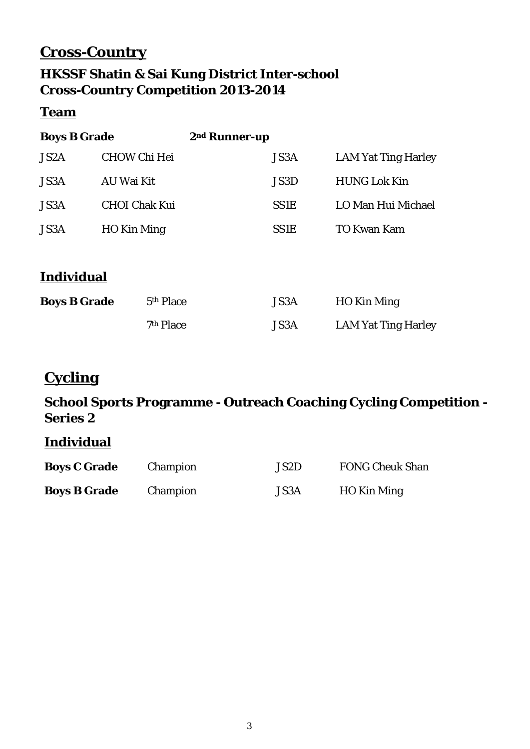# **Cross-Country**

## **HKSSF Shatin & Sai Kung District Inter-school Cross-Country Competition 2013-2014**

### **Team**

| <b>Boys B Grade</b> |                       | 2 <sup>nd</sup> Runner-up |                            |
|---------------------|-----------------------|---------------------------|----------------------------|
| JS <sub>2</sub> A   | <b>CHOW Chi Hei</b>   | <b>JS3A</b>               | <b>LAM Yat Ting Harley</b> |
| JS3A                | AU Wai Kit            | JS3D                      | <b>HUNG Lok Kin</b>        |
| JS3A                | <b>CHOI Chak Kui</b>  | <b>SS1E</b>               | LO Man Hui Michael         |
| JS3A                | HO Kin Ming           | <b>SS1E</b>               | <b>TO Kwan Kam</b>         |
|                     |                       |                           |                            |
| <b>Individual</b>   |                       |                           |                            |
| <b>Boys B Grade</b> | 5 <sup>th</sup> Place | <b>JS3A</b>               | HO Kin Ming                |

| 7 <sup>th</sup> Place | <b>JS3A</b> | <b>LAM Yat Ting Harley</b> |
|-----------------------|-------------|----------------------------|

# **Cycling**

## **School Sports Programme - Outreach Coaching Cycling Competition - Series 2**

### **Individual**

| <b>Boys C Grade</b> | Champion | JS2D | <b>FONG Cheuk Shan</b> |
|---------------------|----------|------|------------------------|
| <b>Boys B Grade</b> | Champion | JS3A | HO Kin Ming            |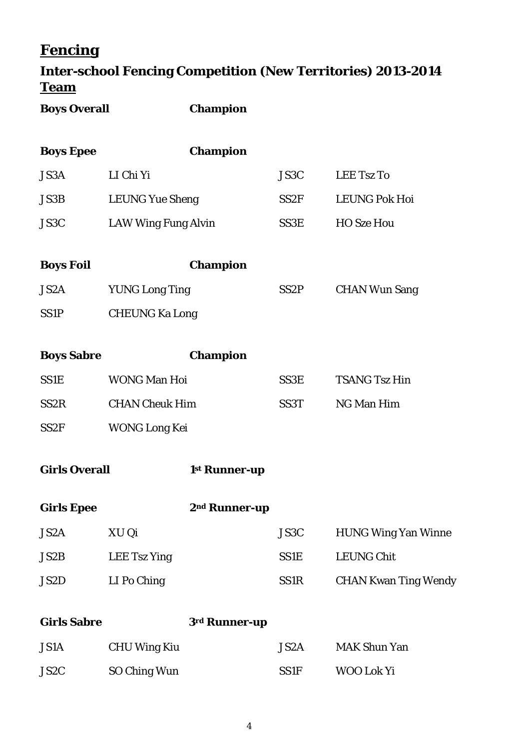# **Fencing**

# **Inter-school Fencing Competition (New Territories) 2013-2014 Team**

| <b>Boys Overall</b>  |                            | <b>Champion</b>           |                   |                             |
|----------------------|----------------------------|---------------------------|-------------------|-----------------------------|
| <b>Boys Epee</b>     |                            | <b>Champion</b>           |                   |                             |
| JS3A                 | LI Chi Yi                  |                           | JS3C              | <b>LEE Tsz To</b>           |
| <b>JS3B</b>          | <b>LEUNG Yue Sheng</b>     |                           | SS <sub>2F</sub>  | <b>LEUNG Pok Hoi</b>        |
| JS3C                 | <b>LAW Wing Fung Alvin</b> |                           | SS3E              | <b>HO Sze Hou</b>           |
| <b>Boys Foil</b>     |                            | <b>Champion</b>           |                   |                             |
| JS2A                 | <b>YUNG Long Ting</b>      |                           | SS <sub>2</sub> P | <b>CHAN Wun Sang</b>        |
| SS <sub>1</sub> P    | <b>CHEUNG Ka Long</b>      |                           |                   |                             |
| <b>Boys Sabre</b>    |                            | <b>Champion</b>           |                   |                             |
| <b>SS1E</b>          | <b>WONG Man Hoi</b>        |                           | SS3E              | <b>TSANG Tsz Hin</b>        |
| SS <sub>2</sub> R    | <b>CHAN Cheuk Him</b>      |                           | SS <sub>3</sub> T | NG Man Him                  |
| SS <sub>2F</sub>     | <b>WONG Long Kei</b>       |                           |                   |                             |
| <b>Girls Overall</b> |                            | 1 <sup>st</sup> Runner-up |                   |                             |
| <b>Girls Epee</b>    |                            | 2 <sup>nd</sup> Runner-up |                   |                             |
| JS2A                 | XU Qi                      |                           | JS3C              | <b>HUNG Wing Yan Winne</b>  |
| JS2B                 | <b>LEE Tsz Ying</b>        |                           | SS1E              | <b>LEUNG Chit</b>           |
| JS2D                 | LI Po Ching                |                           | SS1R              | <b>CHAN Kwan Ting Wendy</b> |
| <b>Girls Sabre</b>   |                            | 3rd Runner-up             |                   |                             |

| <b>JS1A</b> | <b>CHU Wing Kiu</b> | JS2A        | <b>MAK Shun Yan</b> |
|-------------|---------------------|-------------|---------------------|
| JS2C        | SO Ching Wun        | <b>SS1F</b> | WOO Lok Yi          |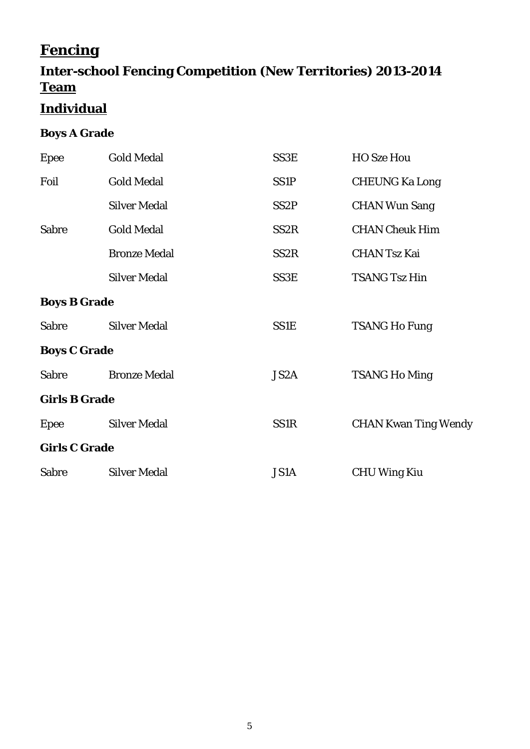# **Fencing**

# **Inter-school Fencing Competition (New Territories) 2013-2014 Team**

# **Individual**

## **Boys A Grade**

| Epee                 | <b>Gold Medal</b>   | SS3E              | <b>HO Sze Hou</b>           |
|----------------------|---------------------|-------------------|-----------------------------|
| Foil                 | <b>Gold Medal</b>   | SS <sub>1P</sub>  | <b>CHEUNG Ka Long</b>       |
|                      | <b>Silver Medal</b> | SS <sub>2</sub> P | <b>CHAN Wun Sang</b>        |
| <b>Sabre</b>         | <b>Gold Medal</b>   | SS <sub>2R</sub>  | <b>CHAN Cheuk Him</b>       |
|                      | <b>Bronze Medal</b> | SS <sub>2R</sub>  | <b>CHAN Tsz Kai</b>         |
|                      | <b>Silver Medal</b> | SS3E              | <b>TSANG Tsz Hin</b>        |
| <b>Boys B Grade</b>  |                     |                   |                             |
| <b>Sabre</b>         | <b>Silver Medal</b> | <b>SS1E</b>       | <b>TSANG Ho Fung</b>        |
| <b>Boys C Grade</b>  |                     |                   |                             |
| <b>Sabre</b>         | <b>Bronze Medal</b> | JS <sub>2</sub> A | <b>TSANG Ho Ming</b>        |
| <b>Girls B Grade</b> |                     |                   |                             |
| <b>Epee</b>          | <b>Silver Medal</b> | SS1R              | <b>CHAN Kwan Ting Wendy</b> |
| <b>Girls C Grade</b> |                     |                   |                             |
| <b>Sabre</b>         | <b>Silver Medal</b> | <b>JS1A</b>       | <b>CHU Wing Kiu</b>         |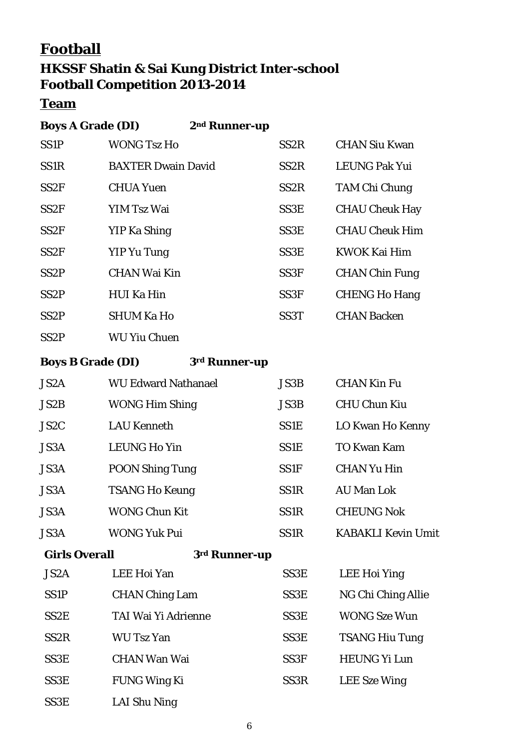# **Football**

## **HKSSF Shatin & Sai Kung District Inter-school Football Competition 2013-2014**

## **Team**

| <b>Boys A Grade (DI)</b> |                           | 2 <sup>nd</sup> Runner-up |                   |                       |
|--------------------------|---------------------------|---------------------------|-------------------|-----------------------|
| <b>SS1P</b>              | <b>WONG Tsz Ho</b>        |                           | SS <sub>2</sub> R | <b>CHAN Siu Kwan</b>  |
| SS <sub>1</sub> R        | <b>BAXTER Dwain David</b> |                           | SS <sub>2</sub> R | <b>LEUNG Pak Yui</b>  |
| SS2F                     | <b>CHUA Yuen</b>          |                           | SS <sub>2</sub> R | <b>TAM Chi Chung</b>  |
| SS2F                     | YIM Tsz Wai               |                           | SS3E              | <b>CHAU Cheuk Hay</b> |
| SS2F                     | YIP Ka Shing              |                           | SS3E              | <b>CHAU Cheuk Him</b> |
| SS2F                     | YIP Yu Tung               |                           | SS <sub>3</sub> E | KWOK Kai Him          |
| SS <sub>2</sub> P        | <b>CHAN Wai Kin</b>       |                           | SS <sub>3F</sub>  | <b>CHAN Chin Fung</b> |
| SS <sub>2</sub> P        | HUI Ka Hin                |                           | SS <sub>3F</sub>  | <b>CHENG Ho Hang</b>  |
| SS <sub>2</sub> P        | <b>SHUM Ka Ho</b>         |                           | SS <sub>3</sub> T | <b>CHAN Backen</b>    |
| SS <sub>2</sub> P        | <b>WU Yiu Chuen</b>       |                           |                   |                       |

**Boys B Grade (DI) 3rd Runner-up**

| JS2A                 | <b>WU Edward Nathanael</b> | JS3B             | <b>CHAN Kin Fu</b>        |
|----------------------|----------------------------|------------------|---------------------------|
| JS2B                 | <b>WONG Him Shing</b>      | <b>JS3B</b>      | <b>CHU Chun Kiu</b>       |
| JS <sub>2</sub> C    | <b>LAU Kenneth</b>         | <b>SS1E</b>      | LO Kwan Ho Kenny          |
| <b>JS3A</b>          | <b>LEUNG Ho Yin</b>        | <b>SS1E</b>      | <b>TO Kwan Kam</b>        |
| JS3A                 | <b>POON Shing Tung</b>     | <b>SS1F</b>      | <b>CHAN Yu Hin</b>        |
| JS3A                 | <b>TSANG Ho Keung</b>      | SS1R             | <b>AU Man Lok</b>         |
| <b>JS3A</b>          | <b>WONG Chun Kit</b>       | SS1R             | <b>CHEUNG Nok</b>         |
| JS3A                 | <b>WONG Yuk Pui</b>        | SS1R             | <b>KABAKLI Kevin Umit</b> |
| <b>Girls Overall</b> | 3rd Runner-up              |                  |                           |
| JS2A                 | <b>LEE Hoi Yan</b>         | SS3E             | LEE Hoi Ying              |
| <b>SS1P</b>          | <b>CHAN Ching Lam</b>      | SS3E             | NG Chi Ching Allie        |
| SS <sub>2</sub> E    | TAI Wai Yi Adrienne        | SS3E             | <b>WONG Sze Wun</b>       |
| SS <sub>2</sub> R    | <b>WU Tsz Yan</b>          | SS3E             | <b>TSANG Hiu Tung</b>     |
| SS3E                 | <b>CHAN Wan Wai</b>        | SS <sub>3F</sub> | <b>HEUNG Yi Lun</b>       |
| SS3E                 | <b>FUNG Wing Ki</b>        | SS <sub>3R</sub> | <b>LEE</b> Sze Wing       |

SS3E LAI Shu Ning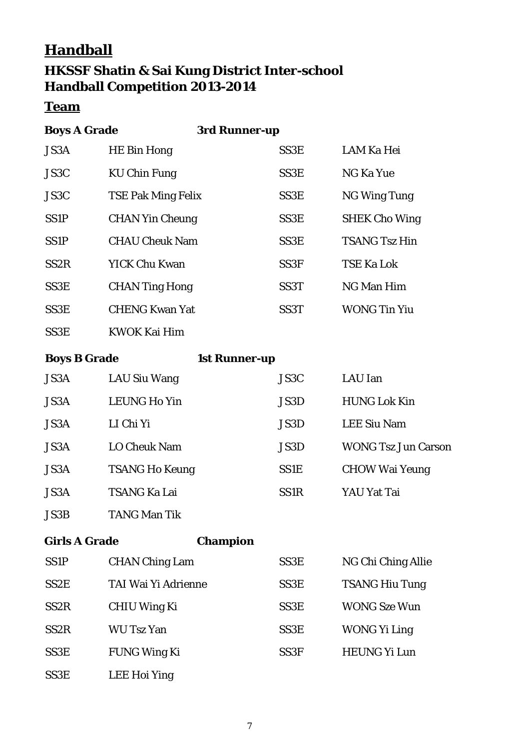# **Handball HKSSF Shatin & Sai Kung District Inter-school Handball Competition 2013-2014**

### **Team**

| <b>Boys A Grade</b> | 3rd Runner-up             |                   |                      |
|---------------------|---------------------------|-------------------|----------------------|
| JS3A                | <b>HE Bin Hong</b>        | SS3E              | <b>LAM Ka Hei</b>    |
| JS3C                | <b>KU Chin Fung</b>       | SS3E              | NG Ka Yue            |
| JS3C                | <b>TSE Pak Ming Felix</b> | SS3E              | <b>NG Wing Tung</b>  |
| SS <sub>1</sub> P   | <b>CHAN Yin Cheung</b>    | SS3E              | <b>SHEK Cho Wing</b> |
| SS <sub>1</sub> P   | <b>CHAU Cheuk Nam</b>     | SS <sub>3</sub> E | <b>TSANG Tsz Hin</b> |
| SS <sub>2</sub> R   | <b>YICK Chu Kwan</b>      | SS <sub>3F</sub>  | <b>TSE Ka Lok</b>    |
| SS3E                | <b>CHAN Ting Hong</b>     | SS <sub>3</sub> T | NG Man Him           |
| SS3E                | <b>CHENG Kwan Yat</b>     | SS <sub>3</sub> T | <b>WONG Tin Yiu</b>  |
| SS <sub>3</sub> E   | <b>KWOK Kai Him</b>       |                   |                      |

**Boys B Grade 1st Runner-up**

| <b>JS3A</b> | LAU Siu Wang          | JS3C              | LAU Ian                    |
|-------------|-----------------------|-------------------|----------------------------|
| <b>JS3A</b> | <b>LEUNG Ho Yin</b>   | JS3D              | <b>HUNG Lok Kin</b>        |
| <b>JS3A</b> | LI Chi Yi             | JS3D              | <b>LEE Siu Nam</b>         |
| <b>JS3A</b> | <b>LO Cheuk Nam</b>   | JS3D              | <b>WONG Tsz Jun Carson</b> |
| <b>JS3A</b> | <b>TSANG Ho Keung</b> | <b>SS1E</b>       | <b>CHOW Wai Yeung</b>      |
| <b>JS3A</b> | <b>TSANG Ka Lai</b>   | SS <sub>1</sub> R | YAU Yat Tai                |
|             |                       |                   |                            |

JS3B TANG Man Tik

**Girls A Grade Champion**

| <b>SS1P</b>       | <b>CHAN Ching Lam</b> | SS <sub>3</sub> E | NG Chi Ching Allie    |
|-------------------|-----------------------|-------------------|-----------------------|
| SS <sub>2</sub> E | TAI Wai Yi Adrienne   | SS3E              | <b>TSANG Hiu Tung</b> |
| SS <sub>2</sub> R | <b>CHIU Wing Ki</b>   | SS <sub>3</sub> E | <b>WONG Sze Wun</b>   |
| SS <sub>2</sub> R | <b>WU Tsz Yan</b>     | SS <sub>3</sub> E | <b>WONG Yi Ling</b>   |
| SS3E              | <b>FUNG Wing Ki</b>   | SS <sub>3F</sub>  | <b>HEUNG Yi Lun</b>   |
| SS <sub>3</sub> E | <b>LEE Hoi Ying</b>   |                   |                       |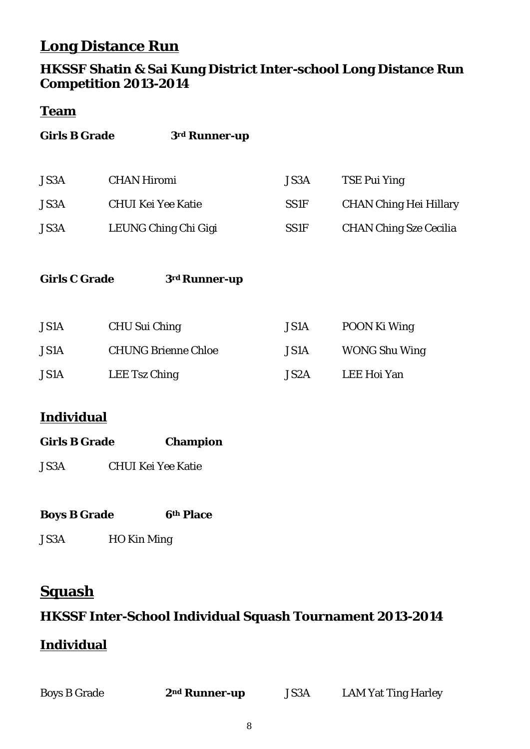# **Long Distance Run**

### **HKSSF Shatin & Sai Kung District Inter-school Long Distance Run Competition 2013-2014**

### **Team**

| <b>Girls B Grade</b> | 3rd Runner-up                                   |                     |                                                      |
|----------------------|-------------------------------------------------|---------------------|------------------------------------------------------|
| JS3A<br><b>JS3A</b>  | <b>CHAN Hiromi</b><br><b>CHUI Kei Yee Katie</b> | JS3A<br><b>SS1F</b> | <b>TSE Pui Ying</b><br><b>CHAN Ching Hei Hillary</b> |
| <b>JS3A</b>          | LEUNG Ching Chi Gigi                            | <b>SS1F</b>         | <b>CHAN Ching Sze Cecilia</b>                        |
| <b>Girls C Grade</b> | 3 <sup>rd</sup> Runner-up                       |                     |                                                      |
| <b>JS1A</b>          | <b>CHU Sui Ching</b>                            | JS1A                | POON Ki Wing                                         |
| <b>JS1A</b>          | <b>CHUNG Brienne Chloe</b>                      | <b>JS1A</b>         | <b>WONG Shu Wing</b>                                 |
| <b>JS1A</b>          | LEE Tsz Ching                                   | JS2A                | <b>LEE Hoi Yan</b>                                   |
| Individual           |                                                 |                     |                                                      |

### **Individual**

| <b>Girls B Grade</b> | <b>Champion</b> |
|----------------------|-----------------|
|                      |                 |

| <b>JS3A</b> | <b>CHUI Kei Yee Katie</b> |  |
|-------------|---------------------------|--|
|             |                           |  |

| <b>Boys B Grade</b> |  |  | <b>6th Place</b> |
|---------------------|--|--|------------------|
|---------------------|--|--|------------------|

JS3A HO Kin Ming

# **Squash**

## **HKSSF Inter-School Individual Squash Tournament 2013-2014**

## **Individual**

| <b>Boys B Grade</b> | 2 <sup>nd</sup> Runner-up | <b>JS3A</b> | <b>LAM Yat Ting Harley</b> |
|---------------------|---------------------------|-------------|----------------------------|
|                     |                           |             |                            |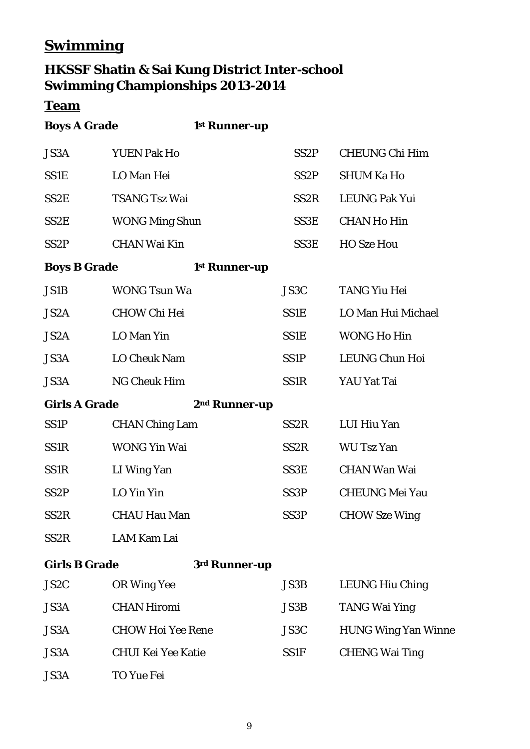# **Swimming**

# **HKSSF Shatin & Sai Kung District Inter-school Swimming Championships 2013-2014**

## **Team**

| <b>Boys A Grade</b>  |                           | 1st Runner-up             |                   |                            |
|----------------------|---------------------------|---------------------------|-------------------|----------------------------|
| JS3A                 | <b>YUEN Pak Ho</b>        |                           | SS <sub>2</sub> P | <b>CHEUNG Chi Him</b>      |
| <b>SS1E</b>          | LO Man Hei                |                           | SS <sub>2</sub> P | <b>SHUM Ka Ho</b>          |
| SS <sub>2</sub> E    | <b>TSANG Tsz Wai</b>      |                           | SS <sub>2</sub> R | <b>LEUNG Pak Yui</b>       |
| SS <sub>2</sub> E    | <b>WONG Ming Shun</b>     |                           | SS3E              | <b>CHAN Ho Hin</b>         |
| SS <sub>2P</sub>     | <b>CHAN Wai Kin</b>       |                           | SS3E              | <b>HO Sze Hou</b>          |
| <b>Boys B Grade</b>  |                           | 1 <sup>st</sup> Runner-up |                   |                            |
| JS1B                 | <b>WONG Tsun Wa</b>       |                           | JS3C              | <b>TANG Yiu Hei</b>        |
| JS2A                 | <b>CHOW Chi Hei</b>       |                           | SS1E              | LO Man Hui Michael         |
| JS2A                 | LO Man Yin                |                           | <b>SS1E</b>       | <b>WONG Ho Hin</b>         |
| JS3A                 | <b>LO Cheuk Nam</b>       |                           | <b>SS1P</b>       | <b>LEUNG Chun Hoi</b>      |
| JS3A                 | <b>NG Cheuk Him</b>       |                           | SS1R              | YAU Yat Tai                |
| <b>Girls A Grade</b> |                           | 2 <sup>nd</sup> Runner-up |                   |                            |
| <b>SS1P</b>          | <b>CHAN Ching Lam</b>     |                           | SS <sub>2R</sub>  | LUI Hiu Yan                |
| SS1R                 | <b>WONG Yin Wai</b>       |                           | SS <sub>2R</sub>  | <b>WU Tsz Yan</b>          |
| SS1R                 | LI Wing Yan               |                           | SS3E              | <b>CHAN Wan Wai</b>        |
| SS <sub>2</sub> P    | LO Yin Yin                |                           | SS <sub>3</sub> P | <b>CHEUNG Mei Yau</b>      |
| SS <sub>2R</sub>     | <b>CHAU Hau Man</b>       |                           | SS <sub>3P</sub>  | <b>CHOW Sze Wing</b>       |
| SS <sub>2</sub> R    | <b>LAM Kam Lai</b>        |                           |                   |                            |
| <b>Girls B Grade</b> |                           | 3rd Runner-up             |                   |                            |
| JS <sub>2</sub> C    | <b>OR Wing Yee</b>        |                           | JS3B              | <b>LEUNG Hiu Ching</b>     |
| JS3A                 | <b>CHAN Hiromi</b>        |                           | <b>JS3B</b>       | <b>TANG Wai Ying</b>       |
| JS3A                 | <b>CHOW Hoi Yee Rene</b>  |                           | JS3C              | <b>HUNG Wing Yan Winne</b> |
| <b>JS3A</b>          | <b>CHUI Kei Yee Katie</b> |                           | <b>SS1F</b>       | <b>CHENG Wai Ting</b>      |
| JS3A                 | TO Yue Fei                |                           |                   |                            |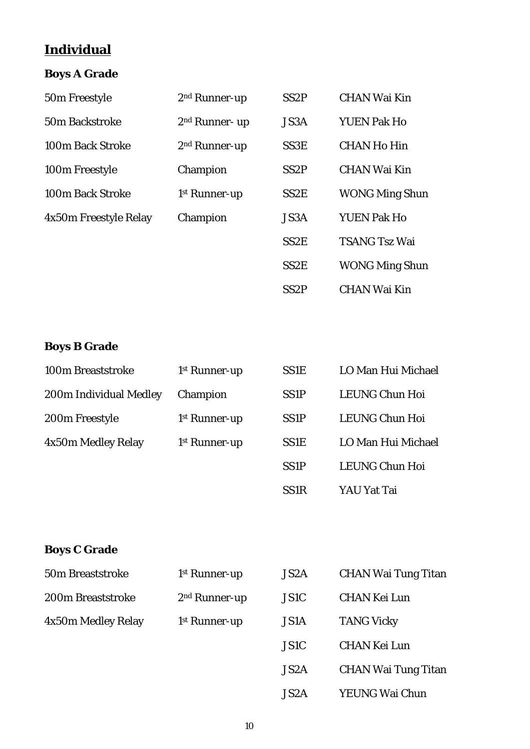# **Individual**

## **Boys A Grade**

| 50m Freestyle         | 2 <sup>nd</sup> Runner-up  | SS <sub>2</sub> P | <b>CHAN Wai Kin</b>   |
|-----------------------|----------------------------|-------------------|-----------------------|
| <b>50m Backstroke</b> | 2 <sup>nd</sup> Runner- up | JS3A              | <b>YUEN Pak Ho</b>    |
| 100m Back Stroke      | $2nd$ Runner-up            | SS <sub>3</sub> E | <b>CHAN Ho Hin</b>    |
| 100m Freestyle        | Champion                   | SS <sub>2</sub> P | <b>CHAN Wai Kin</b>   |
| 100m Back Stroke      | 1 <sup>st</sup> Runner-up  | SS <sub>2</sub> E | <b>WONG Ming Shun</b> |
| 4x50m Freestyle Relay | Champion                   | JS3A              | <b>YUEN Pak Ho</b>    |
|                       |                            | SS <sub>2</sub> E | <b>TSANG Tsz Wai</b>  |
|                       |                            | SS <sub>2</sub> E | <b>WONG Ming Shun</b> |
|                       |                            | SS <sub>2</sub> P | <b>CHAN Wai Kin</b>   |

### **Boys B Grade**

| 100m Breaststroke      | 1 <sup>st</sup> Runner-up | <b>SS1E</b>       | LO Man Hui Michael |
|------------------------|---------------------------|-------------------|--------------------|
| 200m Individual Medley | Champion                  | SS <sub>1</sub> P | LEUNG Chun Hoi     |
| 200m Freestyle         | 1 <sup>st</sup> Runner-up | SS <sub>1</sub> P | LEUNG Chun Hoi     |
| 4x50m Medley Relay     | 1 <sup>st</sup> Runner-up | <b>SS1E</b>       | LO Man Hui Michael |
|                        |                           | SS <sub>1</sub> P | LEUNG Chun Hoi     |
|                        |                           | SS <sub>1</sub> R | YAU Yat Tai        |

## **Boys C Grade**

| 50m Breaststroke   | 1 <sup>st</sup> Runner-up | JS2A        | <b>CHAN Wai Tung Titan</b> |
|--------------------|---------------------------|-------------|----------------------------|
| 200m Breaststroke  | $2nd$ Runner-up           | JS1C        | CHAN Kei Lun               |
| 4x50m Medley Relay | 1 <sup>st</sup> Runner-up | <b>JS1A</b> | <b>TANG Vicky</b>          |

| JS <sub>2</sub> A | <b>CHAN Wai Tung Titan</b> |
|-------------------|----------------------------|
| JS1C              | <b>CHAN Kei Lun</b>        |
| JS1A              | <b>TANG Vicky</b>          |
| JS1C              | <b>CHAN Kei Lun</b>        |
| JS2A              | <b>CHAN Wai Tung Titan</b> |
| JS2A              | YEUNG Wai Chun             |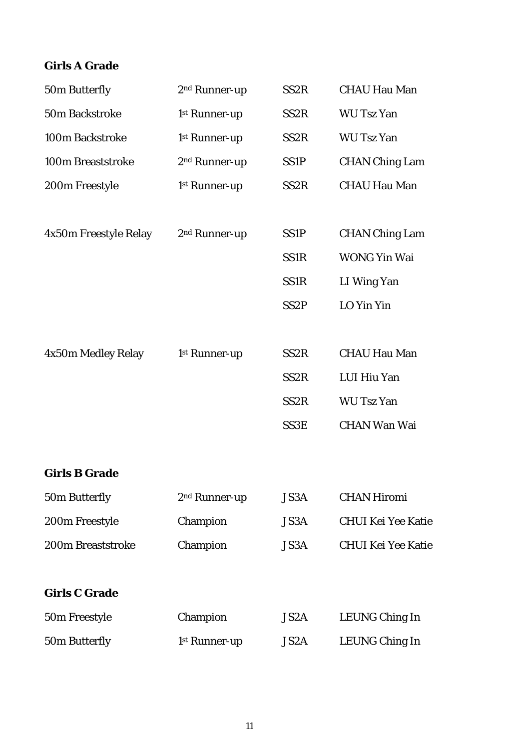### **Girls A Grade**

| 50m Butterfly         | 2 <sup>nd</sup> Runner-up | SS <sub>2R</sub>  | <b>CHAU Hau Man</b>       |
|-----------------------|---------------------------|-------------------|---------------------------|
| 50m Backstroke        | 1st Runner-up             | SS <sub>2R</sub>  | <b>WU Tsz Yan</b>         |
| 100m Backstroke       | 1st Runner-up             | SS <sub>2R</sub>  | <b>WU Tsz Yan</b>         |
| 100m Breaststroke     | 2 <sup>nd</sup> Runner-up | SS <sub>1</sub> P | <b>CHAN Ching Lam</b>     |
| 200m Freestyle        | 1st Runner-up             | SS <sub>2R</sub>  | <b>CHAU Hau Man</b>       |
| 4x50m Freestyle Relay | 2 <sup>nd</sup> Runner-up | SS <sub>1</sub> P | <b>CHAN Ching Lam</b>     |
|                       |                           | <b>SS1R</b>       | <b>WONG Yin Wai</b>       |
|                       |                           | SS1 <sub>R</sub>  | LI Wing Yan               |
|                       |                           | SS <sub>2P</sub>  | LO Yin Yin                |
| 4x50m Medley Relay    | 1st Runner-up             | SS <sub>2R</sub>  | <b>CHAU Hau Man</b>       |
|                       |                           | SS <sub>2</sub> R | LUI Hiu Yan               |
|                       |                           | SS <sub>2</sub> R | <b>WU Tsz Yan</b>         |
|                       |                           | SS3E              | <b>CHAN Wan Wai</b>       |
| <b>Girls B Grade</b>  |                           |                   |                           |
| 50m Butterfly         | 2 <sup>nd</sup> Runner-up | JS3A              | <b>CHAN Hiromi</b>        |
| 200m Freestyle        | Champion                  | JS3A              | <b>CHUI Kei Yee Katie</b> |
| 200m Breaststroke     | Champion                  | JS3A              | <b>CHUI Kei Yee Katie</b> |
| <b>Girls C Grade</b>  |                           |                   |                           |
| 50m Freestyle         | Champion                  | JS <sub>2</sub> A | LEUNG Ching In            |
| 50m Butterfly         | 1 <sup>st</sup> Runner-up | JS2A              | LEUNG Ching In            |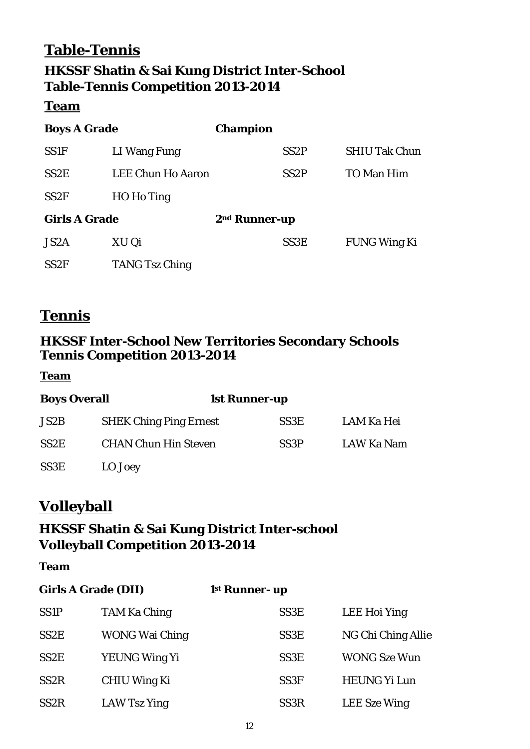# **Table-Tennis HKSSF Shatin & Sai Kung District Inter-School Table-Tennis Competition 2013-2014**

#### **Team**

| <b>Boys A Grade</b>  |                          | <b>Champion</b>           |                   |                      |
|----------------------|--------------------------|---------------------------|-------------------|----------------------|
| <b>SS1F</b>          | LI Wang Fung             |                           | SS <sub>2</sub> P | <b>SHIU Tak Chun</b> |
| SS <sub>2</sub> E    | <b>LEE Chun Ho Aaron</b> |                           | SS <sub>2</sub> P | <b>TO Man Him</b>    |
| SS <sub>2F</sub>     | HO Ho Ting               |                           |                   |                      |
| <b>Girls A Grade</b> |                          | 2 <sup>nd</sup> Runner-up |                   |                      |
| JS <sub>2</sub> A    | XU Qi                    |                           | SS <sub>3</sub> E | <b>FUNG Wing Ki</b>  |
| SS <sub>2F</sub>     | <b>TANG Tsz Ching</b>    |                           |                   |                      |

## **Tennis**

## **HKSSF Inter-School New Territories Secondary Schools Tennis Competition 2013-2014**

**Team**

| <b>Boys Overall</b> |                               | <b>1st Runner-up</b> |            |  |
|---------------------|-------------------------------|----------------------|------------|--|
| JS2B                | <b>SHEK Ching Ping Ernest</b> | SS <sub>3</sub> E    | LAM Ka Hei |  |
| SS <sub>2</sub> E   | <b>CHAN Chun Hin Steven</b>   | SS <sub>3</sub> P    | LAW Ka Nam |  |
| SS3E                | LO Joey                       |                      |            |  |

# **Volleyball**

## **HKSSF Shatin & Sai Kung District Inter-school Volleyball Competition 2013-2014**

#### **Team**

| <b>Girls A Grade (DII)</b> |                       | 1 <sup>st</sup> Runner- up |                     |
|----------------------------|-----------------------|----------------------------|---------------------|
| <b>SS1P</b>                | <b>TAM Ka Ching</b>   | SS <sub>3</sub> E          | <b>LEE Hoi Ying</b> |
| SS <sub>2</sub> E          | <b>WONG Wai Ching</b> | SS <sub>3</sub> E          | NG Chi Ching Allie  |
| SS <sub>2</sub> E          | <b>YEUNG Wing Yi</b>  | SS <sub>3</sub> E          | <b>WONG Sze Wun</b> |
| SS <sub>2</sub> R          | <b>CHIU Wing Ki</b>   | SS <sub>3F</sub>           | <b>HEUNG Yi Lun</b> |
| SS <sub>2</sub> R          | LAW Tsz Ying          | SS <sub>3</sub> R          | <b>LEE</b> Sze Wing |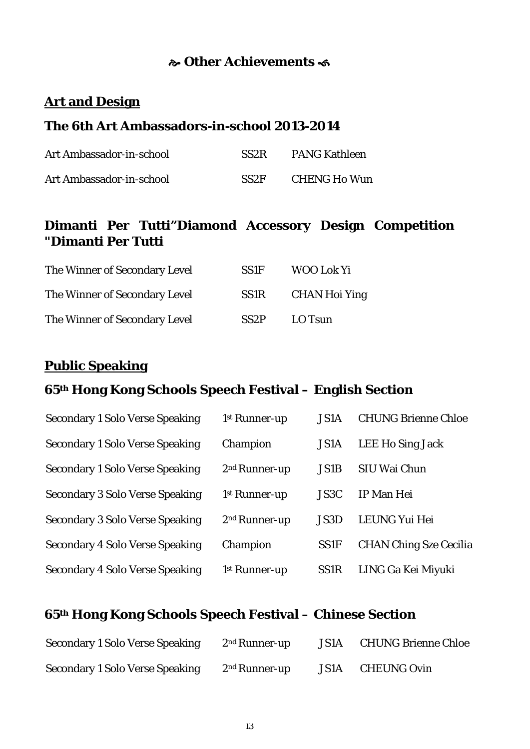### **Other Achievements**

### **Art and Design**

## **The 6th Art Ambassadors-in-school 2013-2014**

| Art Ambassador-in-school | SS <sub>2</sub> R | <b>PANG Kathleen</b> |
|--------------------------|-------------------|----------------------|
| Art Ambassador-in-school | SS <sub>2F</sub>  | <b>CHENG Ho Wun</b>  |

## **Dimanti Per Tutti"Diamond Accessory Design Competition "Dimanti Per Tutti**

| The Winner of Secondary Level | SS <sub>1F</sub>  | WOO Lok Yi           |
|-------------------------------|-------------------|----------------------|
| The Winner of Secondary Level | <b>SS1R</b>       | <b>CHAN Hoi Ying</b> |
| The Winner of Secondary Level | SS <sub>2</sub> P | LO Tsun              |

#### **Public Speaking**

## **65th Hong Kong Schools Speech Festival – English Section**

| <b>Secondary 1 Solo Verse Speaking</b> | 1 <sup>st</sup> Runner-up | <b>JS1A</b> | <b>CHUNG Brienne Chloe</b>    |
|----------------------------------------|---------------------------|-------------|-------------------------------|
| <b>Secondary 1 Solo Verse Speaking</b> | Champion                  | <b>JS1A</b> | LEE Ho Sing Jack              |
| <b>Secondary 1 Solo Verse Speaking</b> | 2 <sup>nd</sup> Runner-up | <b>JS1B</b> | SIU Wai Chun                  |
| <b>Secondary 3 Solo Verse Speaking</b> | 1 <sup>st</sup> Runner-up | JS3C        | <b>IP Man Hei</b>             |
| <b>Secondary 3 Solo Verse Speaking</b> | 2 <sup>nd</sup> Runner-up | JS3D        | <b>LEUNG Yui Hei</b>          |
| <b>Secondary 4 Solo Verse Speaking</b> | Champion                  | <b>SS1F</b> | <b>CHAN Ching Sze Cecilia</b> |
| <b>Secondary 4 Solo Verse Speaking</b> | 1 <sup>st</sup> Runner-up | <b>SS1R</b> | LING Ga Kei Miyuki            |

# **65th Hong Kong Schools Speech Festival – Chinese Section**

| <b>Secondary 1 Solo Verse Speaking</b> | $2nd$ Runner-up | JS1A | <b>CHUNG Brienne Chloe</b> |
|----------------------------------------|-----------------|------|----------------------------|
| <b>Secondary 1 Solo Verse Speaking</b> | $2nd$ Runner-up | JS1A | <b>CHEUNG Ovin</b>         |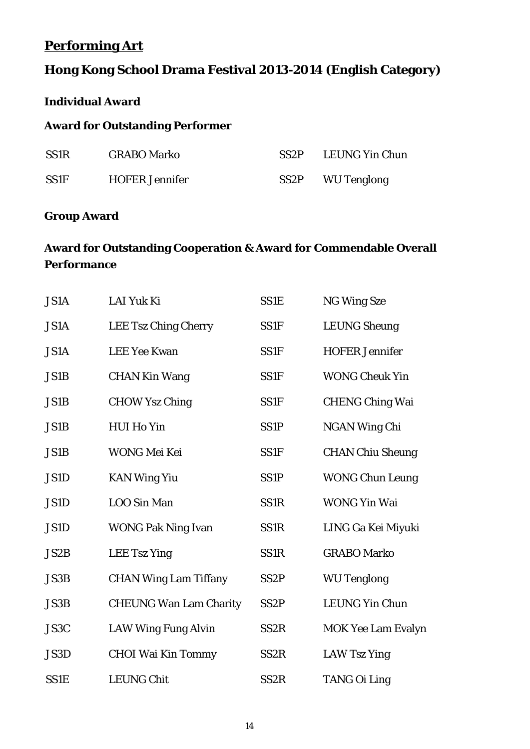## **Performing Art**

## **Hong Kong School Drama Festival 2013-2014 (English Category)**

### **Individual Award**

### **Award for Outstanding Performer**

| <b>SS1R</b> | <b>GRABO Marko</b>    | SS <sub>2</sub> P | LEUNG Yin Chun     |
|-------------|-----------------------|-------------------|--------------------|
| <b>SS1F</b> | <b>HOFER Jennifer</b> | SS <sub>2</sub> P | <b>WU Tenglong</b> |

### **Group Award**

### **Award for Outstanding Cooperation & Award for Commendable Overall Performance**

| <b>JS1A</b> | LAI Yuk Ki                    | <b>SS1E</b>       | <b>NG Wing Sze</b>        |
|-------------|-------------------------------|-------------------|---------------------------|
| <b>JS1A</b> | <b>LEE Tsz Ching Cherry</b>   | <b>SS1F</b>       | <b>LEUNG Sheung</b>       |
| <b>JS1A</b> | <b>LEE Yee Kwan</b>           | <b>SS1F</b>       | <b>HOFER Jennifer</b>     |
| JS1B        | <b>CHAN Kin Wang</b>          | <b>SS1F</b>       | <b>WONG Cheuk Yin</b>     |
| <b>JS1B</b> | <b>CHOW Ysz Ching</b>         | <b>SS1F</b>       | <b>CHENG Ching Wai</b>    |
| JS1B        | <b>HUI Ho Yin</b>             | SS <sub>1</sub> P | <b>NGAN Wing Chi</b>      |
| JS1B        | <b>WONG Mei Kei</b>           | SS1F              | <b>CHAN Chiu Sheung</b>   |
| <b>JS1D</b> | <b>KAN Wing Yiu</b>           | <b>SS1P</b>       | <b>WONG Chun Leung</b>    |
| JS1D        | LOO Sin Man                   | SS1 <sub>R</sub>  | <b>WONG Yin Wai</b>       |
| JS1D        | <b>WONG Pak Ning Ivan</b>     | SS1R              | LING Ga Kei Miyuki        |
| JS2B        | <b>LEE Tsz Ying</b>           | SS1 <sub>R</sub>  | <b>GRABO Marko</b>        |
| <b>JS3B</b> | <b>CHAN Wing Lam Tiffany</b>  | SS <sub>2</sub> P | <b>WU Tenglong</b>        |
| JS3B        | <b>CHEUNG Wan Lam Charity</b> | SS <sub>2</sub> P | <b>LEUNG Yin Chun</b>     |
| JS3C        | <b>LAW Wing Fung Alvin</b>    | SS <sub>2</sub> R | <b>MOK Yee Lam Evalyn</b> |
| JS3D        | <b>CHOI Wai Kin Tommy</b>     | SS <sub>2</sub> R | <b>LAW Tsz Ying</b>       |
| <b>SS1E</b> | <b>LEUNG Chit</b>             | SS <sub>2</sub> R | <b>TANG Oi Ling</b>       |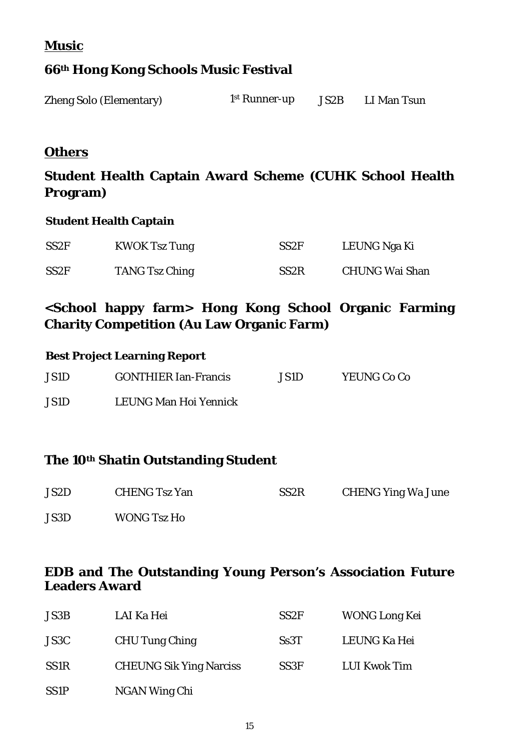**Music**

## **66th Hong Kong Schools Music Festival**

| <b>Zheng Solo (Elementary)</b> | 1 <sup>st</sup> Runner-up | JS2B | LI Man Tsun |
|--------------------------------|---------------------------|------|-------------|
|                                |                           |      |             |

## **Others**

## **Student Health Captain Award Scheme (CUHK School Health Program)**

#### **Student Health Captain**

| SS <sub>2F</sub> | <b>KWOK Tsz Tung</b>  | SS <sub>2F</sub>  | LEUNG Nga Ki          |
|------------------|-----------------------|-------------------|-----------------------|
| SS <sub>2F</sub> | <b>TANG Tsz Ching</b> | SS <sub>2</sub> R | <b>CHUNG Wai Shan</b> |

## **<School happy farm> Hong Kong School Organic Farming Charity Competition (Au Law Organic Farm)**

| <b>Best Project Learning Report</b> |                             |       |             |
|-------------------------------------|-----------------------------|-------|-------------|
| JS1D                                | <b>GONTHIER Ian-Francis</b> | JS1D. | YEUNG Co Co |
| JS1D                                | LEUNG Man Hoi Yennick       |       |             |

## **The 10th Shatin Outstanding Student**

| JS2D | <b>CHENG Tsz Yan</b> | SS <sub>2</sub> R | <b>CHENG Ying Wa June</b> |
|------|----------------------|-------------------|---------------------------|
| JS3D | <b>WONG Tsz Ho</b>   |                   |                           |

### **EDB and The Outstanding Young Person's Association Future Leaders Award**

| JS3B        | LAI Ka Hei                     | SS <sub>2F</sub> | <b>WONG Long Kei</b> |
|-------------|--------------------------------|------------------|----------------------|
| JS3C        | <b>CHU Tung Ching</b>          | S <sub>s3T</sub> | LEUNG Ka Hei         |
| <b>SS1R</b> | <b>CHEUNG Sik Ying Narciss</b> | SS <sub>3F</sub> | <b>LUI Kwok Tim</b>  |
| <b>SS1P</b> | NGAN Wing Chi                  |                  |                      |